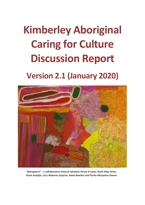# **Kimberley Aboriginal Caring for Culture Discussion Report**

## **Version 2.1 (January 2020)**



*'Nyangkarni'* **– a collaborative artwork between** *Penny K Lyons, Rosie King Tarku, Rosie Goodjie, Cory Wakartu Surprise, Nada Rawlins and Purlta Maryanne Downs*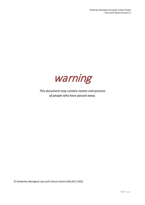

*This document may contain names and pictures of people who have passed away.*

© Kimberley Aboriginal Law and Cultural Centre (KALACC) 2020.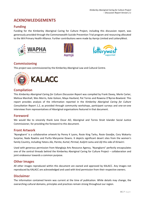## **ACKNOWLEDGEMENTS**

## **Funding**

Funding for the Kimberley Aboriginal Caring for Culture Project, including this discussion report, was generously provided through the Commonwealth Suicide Prevention Trial program and resourcing allocated to the WA Primary Health Alliance. Further contributions were made by Aarnja Limited and LotteryWest.







## **Commissioning**

This project was commissioned by the Kimberley Aboriginal Law and Cultural Centre.<br>  $e^{\frac{\sqrt{6}}{3} \left(\frac{a}{2} + \frac{a}{2}\right)}$  =  $\frac{c}{2}$  =  $\frac{c}{2}$  =  $\frac{c}{2}$  =  $\frac{c}{2}$  =  $\frac{c}{2}$  =  $\frac{c}{2}$  =  $\frac{c}{2}$  =  $\frac{c}{2}$  =  $\frac{c$ 



## **Compilation**

This *Kimberley Aboriginal Caring for Culture Discussion Report* was compiled by Frank Davey, Merle Carter, Melissa Marshall, Wes Morris, Kate Golson, Maya Haviland, Pat Torres and Rowena O'Byrne-Bowland. This report provides analysis of the information reported in the *Kimberley Aboriginal Caring for Culture Consultation Report 1.2*, as provided through community workshops, participant surveys and one-on-one interviews from representatives of Aboriginal organisations featured in that document.

## **Foreword**

We would like to sincerely thank June Oscar AO, Aboriginal and Torres Strait Islander Social Justice Commissioner, for providing the foreword to this document.

## **Front Artwork**

'Nyangkarni' is a collaborative artwork by Penny K Lyons, Rosie King Tarku, Rosie Goodjie, Cory Wakartu Surprise, Nada Rawlins and Purlta Maryanne Downs. It depicts significant desert sites from the women's family Country, including *Yataru Jila*, *Parnta*, *Kurtal*, *Pirrmal*, *Kulijirti Jumu* and *Jilji* this side of *Kiriwirri*.

Used with generous permission from Mangkaja Arts Resource Agency, 'Nyangkarni' perfectly encapsulates one of the central threads behind the Kimberley Aboriginal Caring for Culture Project – collaboration and joint endeavour towards a common purpose.

## **Other Images**

All other images reproduced within this document are owned and approved by KALACC. Any images not reproduced by KALACC are acknowledged and used with kind permission from their respective owners.

## **Disclaimer**

The information contained herein was current at the time of publication. While details may change, the overarching cultural domains, principles and practices remain strong throughout our region.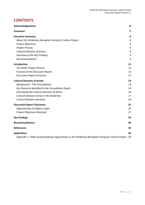## **CONTENTS**

| <b>Acknowledgements</b>                                                                                 | iii |
|---------------------------------------------------------------------------------------------------------|-----|
| Foreword                                                                                                | 5   |
| <b>Executive Summary</b>                                                                                | 6   |
| About the Kimberley Aboriginal Caring for Culture Project                                               | 6   |
| Project Objectives                                                                                      | 6   |
| <b>Project Process</b>                                                                                  | 6   |
| <b>Cultural Domains of Action</b>                                                                       | 8   |
| Overview of the Key Findings                                                                            | 9   |
| Recommendations                                                                                         | 9   |
| Introduction                                                                                            | 12  |
| The KACfC Project Process                                                                               | 12  |
| Purpose of the Discussion Report                                                                        | 13  |
| <b>Discussion Report Structure</b>                                                                      | 13  |
| <b>Cultural Domains of Action</b>                                                                       | 14  |
| <b>Background - The Consultations</b>                                                                   | 14  |
| Key Elements Identified in the Consultation Report                                                      | 14  |
| Developing the Cultural Domains of Action                                                               | 16  |
| Cultural Domains Active in the Kimberley                                                                | 17  |
| <b>Cultural Domain Summary</b>                                                                          | 24  |
| <b>Discussion Report Outcomes</b>                                                                       | 25  |
| <b>Opportunities to Address Gaps</b>                                                                    | 25  |
| Project Objectives Revisited                                                                            | 27  |
| <b>Key Findings</b>                                                                                     | 29  |
| <b>Recommendations</b>                                                                                  | 30  |
| <b>References</b>                                                                                       | 32  |
| <b>Appendices</b>                                                                                       | 34  |
| Appendix 1: Table of participating organisations in the Kimberley Aboriginal Caring for Culture Project | -34 |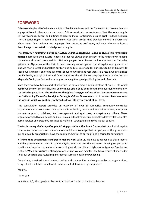## **FOREWORD**

**Culture underpins all of who we are.** It is both what we learn, and the framework for how we live and engage with each other and our surrounds. Culture constructs our society and identities, our strength, self-worth and resilience, and in times of great sadness – of trauma, loss and grief – culture heals us. The Kimberley region is home to 30 distinct Aboriginal groups that practices culture in diverse and vibrant ways. Our traditions and languages that connect us to Country and each other come from a deep lineage of ancestral knowledge and strength.

**The** *Kimberley Aboriginal Caring for Culture Initial Consultation Report* **captures this remarkable heritage.** It reflects the powerful leadership that has always been present in the Kimberley in keeping our culture alive and protected. In 1984, our people from diverse traditions across the Kimberley gathered at Ngumpan. At this historic bush meeting, we recognised that alongside our rights to our land we must protect and practice our Law and culture. We stood for our rights to be on Country, to speak our languages, and to be in control of our knowledge and resources. As a result, we established the Kimberley Aboriginal Law and Cultural Centre, the Kimberley Language Resource Centre, and Magabala Books, the first and now longest running Aboriginal publishing house in Australia.

Since then, we have been a part of achieving the extraordinary legal milestone of Native Title which destroyed the myth of Terra Nullius, and we have established and strengthened our many communitycontrolled organisations. **The** *Kimberley Aboriginal Caring for Culture Initial Consultation Report* **and the forthcoming** *Kimberley Aboriginal Caring for Culture Plan* **reminds us of these achievements and the ways in which we continue to thread culture into every aspect of our lives.**

This consultation report provides an overview of over 60 Kimberley community-controlled organisations that work across every sector from health, justice and education to arts, enterprise, women's supports, childcare, land management and aged care, amongst many others. These organisations, led by our people and built on our cultural values and principles, deliver vital culturallybased services and programs designed to maintain, strengthen and revitalise our culture.

**The forthcoming** *Kimberley Aboriginal Caring for Culture Plan* **is not for the shelf.** It will sit alongside other major reports and recommendations which acknowledge that our people on the ground and our community organisations have the solutions. Central to our solutions is caring for our culture.

**It is time that Governments and policy-makers work with us.** We have to respond to these reports and this plan so we can invest in community-led solutions over the long-term. In being supported to practice and care for our culture in everything we do our distinct rights as Indigenous Peoples are realised. **When our culture is strong, we are strong.** We can maintain the transference of knowledge to all our children, and revitalise generational success, health and wellbeing.

Our culture, practiced in our homes, families and communities and supported by our organisations, brings about the future we all want – a future self-determined by our people.

Yaninyja.

Thank you.

June Oscar AO, Aboriginal and Torres Strait Islander Social Justice Commissioner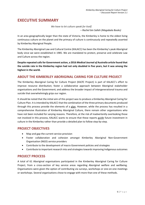## **EXECUTIVE SUMMARY**

*We have to let culture speak for itself.*

*– Rachel bin Salleh (Magabala Books)*

In an area geographically larger than the state of Victoria, the Kimberley is home to the oldest living continuous culture on the planet and the primacy of culture is continuously and repeatedly asserted by Kimberley Aboriginal People.

The Kimberley Aboriginal Law and Cultural Centre (KALACC) has been the Kimberley's peak Aboriginal body since we were established in 1985. We are mandated to protect, preserve and celebrate Law and Culture across the region.

**Despite repeated calls for Government action, a 2016** *Medical Journal of Australia* **article found that the suicide rate in the Kimberley region had not only doubled in five years, but it was among the highest in the world.**

## **ABOUT THE KIMBERLEY ABORIGINAL CARING FOR CULTURE PROJECT**

The Kimberley Aboriginal Caring for Culture Project (KACfC Project) is part of KALACC's effort to improve resource distribution; foster a collaborative approach between Aboriginal stakeholder organisations and the Government; and address the broader impact of intergenerational trauma and suicide that overwhelmingly grips our region.

It should be noted that the initial aim of this project was to produce a Kimberley Aboriginal Caring for Culture Plan. It is intended by KALACC that the combination of the three primary documents produced through this process provide the elements of a plan. However, while the process has resulted in a comprehensive illustration of Kimberley Aboriginal Culture, there remain other organisations who have not been included for varying reasons. Therefore, at the risk of inadvertently overlooking those not involved in this process, KALACC wants to ensure that these reports guide future investment in culture in the Kimberley rather than provide a detailed plan to follow step-by-step.

## **PROJECT OBJECTIVES**

- Map and gap the current service provision
- Foster collaboration and cohesion amongst Kimberley Aboriginal Non-Government Organisation (NGO) service providers
- Contribute to the development of macro Government policies and strategies
- Contribute to important research into and strategies towards improving Indigenous outcomes

## **PROJECT PROCESS**

A total of 61 Aboriginal organisations participated in the Kimberley Aboriginal Caring for Culture Project, from a cross-section of key service areas regarding Aboriginal welfare and wellbeing. Organisations were given the option of contributing via surveys, workshops or one-on-one meetings or workshops. Several organisations chose to engage with more than one of these methods.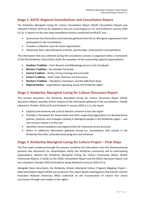## **Stage 1: KACfC Regional Consultations and Consultation Report**

The *Kimberley Aboriginal Caring for Culture Consultation Report (KACfC Consultation Report)* was released in March 2019 (v1.0); updated in July (v1.1) and August (v1.2); and finalised in January 2020 (v1.3). It reports on the year-long consultation process conducted by KALACC and:

- Summarisesthe information and materials gathered from the 61 Aboriginal organisations that participated in the consultations
- Provides a collective voice for these organisations
- Showcases their culturally-based activities, partnerships, achievements and aspirations

The information that was collected during the consultation process is organised within a framework of the five Kimberley cultural blocs (with the exception of the overarching regional organisations):

- **Southern Tradition** from Broome and Bidyadanga across to the Tjurabalan
- **Western Tradition** the Dampier Peninsula
- **Central Tradition** Derby, Fitzroy Crossing and surrounds
- **Eastern Tradition** Halls Creek, Warmun and Kununurra
- **Northern Tradition** Wyndham, Kalumburu and the Gibb River Road
- **Regional Bodies** organisations operating across the Kimberley region

## **Stage 2: Kimberley Aboriginal Caring for Culture Discussion Report**

This present document, the *Kimberley Aboriginal Caring for Culture Discussion Report (KACfC Discussion Report)*, provides further analysis of the information gathered in the consultations. Initially released in October 2019 (v2.0) and finalised in January 2020 (v 2.1), the report:

- Explores and examines the cultural domains inherent across the region
- Provides a framework for Government and other supporting organisations to develop future policies, practices and strategies relating to Aboriginal people in the Kimberley region – one that ensures culture is at the core
- Identifies recommendations and opportunities for enhanced service provision
- Refers to additional information gathered during our consultations with schools in the Kimberley that offer culturally-based programs and initiatives.

## **Stage 3: Kimberley Aboriginal Caring for Culture Project – Final Steps**

The final report produced through this process combines the information from the aforementioned previous two documents for dissemination within the Kimberley community and to participating organisations. Named the *Kimberley Aboriginal Caring for Culture Community Report* (*KACfC Community Report*), it builds on the *KACfC Consultation Report* and the *KACfC Discussion Report* and was released in October 2019 (v3.0) before being finalised in January 2020 (v3.1).

Alongside these documents, the *Kimberley Schools Aboriginal Culture Program Mapping Project – Data and Analysis Report* (2019) was produced. This report details investigations that KALACC and the Australian National University (ANU) undertook on the incorporation of culture into school curriculums through case studies in the region.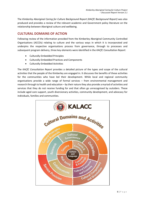The *Kimberley Aboriginal Caring for Culture Background Report (KACfC Background Report)* was also produced and provides a review of the relevant academic and Government policy literature on the relationship between Aboriginal culture and wellbeing.

## **CULTURAL DOMAINS OF ACTION**

Following review of the information provided from the Kimberley Aboriginal Community Controlled Organisations (ACCOs) relating to culture and the various ways in which it is incorporated and underpins the respective organisations process from governance, through to processes and subsequent program delivery, three key elements were identified in the *KACfC Consultation Report*:

- Culturally-Embedded Principles
- Culturally-Embedded Practices and Components
- Culturally-Embedded Activities

The *KACfC Consultation Report* provides a detailed picture of the types and scope of the cultural activities that the people of the Kimberley are engaged in. It discusses the benefits of these activities for the communities who have led their development. While local and regional community organisations provide a wide range of formal services – from environmental management and research through to health and education – by their nature they also provide a myriad of activities and services that they do not receive funding for and that often go unrecognised by outsiders. These include aged care support, youth diversionary activities, community development, and advocacy for individuals, families and communities.

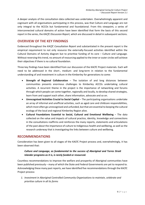A deeper analysis of the consultation data collected was undertaken. Overwhelmingly apparent and cognisant with all organisations participating in this process, was that Culture and Language are not only integral to the ACCOs but fundamental and foundational. From this viewpoint, a series of interconnected cultural domains of action have been identified that form the basis of this second report in the series, the *KACfC Discussion Report,* which are discussed in detail in subsequent sections.

## **OVERVIEW OF THE KEY FINDINGS**

Evidenced throughout the *KACfC Consultation Report* and substantiated in the present report is the empirical requirement to not only resource the externally-focused activities identified within the Cultural Domains of Activity diagram but to prioritise funding of its core – Culture and Language. Without reversing this trend, no amount of resourcing applied to the inner or outer circles will achieve their objectives if there is no cultural foundation.

Three key findings have been identified from our discussion of the KACfC Project materials. Each will need to be addressed in the short-, medium- and long-term in relation to the fundamental understanding of and investment in culture in the Kimberley for generations to come:

- **Strength of Regional Collaboration** The isolation of and long distances between communities presents enormous challenges to Kimberley ACCOs undertaking cultural activities. A recurrent theme in the project is the importance of networking and forums through which people can come together, regionally and locally, to develop shared strategies, learn from and support each other, share information, advocate and so on.
- **Unrecognised Activities Crucial to Social Capital** The participating organisations undertake an array of informal and unofficial activities, such as aged care and childcare responsibilities, which most often go unrecognised and unfunded, but that are essential to keeping the cultural ecology of the local and regional Kimberley Region alive.
- **Cultural Foundations Essential to Social, Cultural and Emotional Wellbeing** The data collected on the value and impacts of cultural practice, identity, knowledge and connections in the consultations reaffirms and reinforces the many reports, statements and articulations of the past about the importance of culture to Indigenous health and wellbeing, as well as the research underway that is investigating the links between culture and wellbeing.

## **RECOMMENDATIONS**

Consideration has been given to all stages of the KACfC Project process and, overwhelmingly, it has been observed that:

#### *Culture and Language, as fundamental to the success of Aboriginal and Torres Strait Islander programs as it is, is rarely funded or resourced.*

Countless recommendations to improve the welfare and prosperity of Aboriginal communities have been published previously – many of which the State and Federal Governments are yet to respond to. Acknowledging these many past reports, we have identified five recommendations through the KACfC Project process:

*1. Investment in Aboriginal Controlled Community Organisations to maintain, celebrate and prioritise culture in all its forms*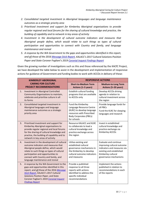- *2. Consolidated targeted investment in Aboriginal languages and language maintenance outcomes as a strategic priority area*
- *3. Prioritised investment and support for Kimberley Aboriginal organisations to provide regular regional and local forums for the sharing of cultural knowledge and practice, the building of capability and to network in key areas of activity*
- *4. Investment in the development of cultural outcome indicators and measures that Aboriginal people define, which would relate to such things as types of cultural participation and opportunities to connect with Country and family, and language maintenance and revival*
- *5. A response by the WA Government to the gaps and opportunities identified in this report, and all those of the 201[6 Message Stick Report,](https://www.parliament.wa.gov.au/parliament/commit.nsf/(Report+Lookup+by+Com+ID)/B7C324463C7E020A4825806E00050947/$file/161114+Aboriginal+Youth+Suicide+Draft+Report+FINAL+with+electronic+signature+17112016.pdf) KALACC's 2017 Cultural Solutions Position Paper and State Coroner Fogliani's 2019 [Coronial Inquest Findings Report](https://www.coronerscourt.wa.gov.au/_files/inquest-2019/13-Children-and-Young-Persons-in-the-Kimberley-Region-Finding.pdf)*

Given the growing number of investigations such as this and those referenced by the KACfC Project, we have developed the table below to assist in the development and implementation of responsive actions for guidance of Government and funding bodies to work with ACCOs in delivery of these:

|    | <b>KIMBERLEY ABORIGINAL</b>                                                                                                                                                                                                                                                                | <b>RESPONSIVE ACTIONS</b>                                                                                                                                 |                                                                                                                                                               |  |  |
|----|--------------------------------------------------------------------------------------------------------------------------------------------------------------------------------------------------------------------------------------------------------------------------------------------|-----------------------------------------------------------------------------------------------------------------------------------------------------------|---------------------------------------------------------------------------------------------------------------------------------------------------------------|--|--|
|    | <b>CARING FOR CULTURE</b><br><b>PROJECT RECOMMENDATIONS</b>                                                                                                                                                                                                                                | <b>Short-to-Medium Term</b><br>Actions (1-5 years)                                                                                                        | <b>Medium-to-Long Term</b><br>Actions (5-20 years)                                                                                                            |  |  |
| 1. | Investment in Aboriginal Controlled<br>Community Organisations to maintain,<br>celebrate and prioritise culture in all<br>its forms                                                                                                                                                        | Establish cultural funding<br>programs that are available<br>to ACCOs only                                                                                | Develop ACCOs driving<br>agenda in relation to<br>cultural investment across<br>the region                                                                    |  |  |
| 2. | Consolidated targeted investment in<br>Aboriginal languages and language<br>maintenance outcomes as a strategic<br>priority area                                                                                                                                                           | Fund the Kimberley<br>Language Resource Centre<br>(KLRC) to develop language<br>resources with Prescribed<br><b>Body Corporates (PBCs)</b><br>for schools | Provide language funds for<br>all PBCs<br>Fund the KLRC for sleeping<br>languages and research                                                                |  |  |
| 3. | Prioritised investment and support for<br>Kimberley Aboriginal organisations to<br>provide regular regional and local forums<br>for the sharing of cultural knowledge and<br>practice, the building of capability and to<br>network in key areas of activity                               | Resource KALACC and KLRC<br>to collaborate to lead a<br>cultural knowledge and<br>practice exchange across<br>the region                                  | Invest in established<br>cultural knowledge and<br>practice exchange via<br>Kimberley ACCOs                                                                   |  |  |
| 4. | Investment in the development of cultural<br>outcome indicators and measures that<br>Aboriginal people define, which would<br>relate to such things as types of cultural<br>participation and opportunities to<br>connect with Country and family, and<br>language maintenance and revival | Utilise existing and<br>established cultural<br>governance mechanisms in<br>the Kimberley to develop<br>cultural outcome indicators<br>and measures       | Evaluate and continue<br>improving cultural outcome<br>indicators and measures via<br>existing and established<br>Kimberley cultural<br>governance mechanisms |  |  |
| 5. | A response by the WA Government to the<br>gaps and opportunities identified in this<br>report, and all those of the 2016 Message<br>Stick Report, KALACC's 2017 Cultural<br>Solutions Position Paper, and State<br>Coroner Fogliani's 2019 Coronial Inquest<br><b>Findings Report</b>      | Provide a published<br>response to all three<br>reports with actions<br>identified to address the<br>specific individual<br>recommendations               | Implement the actions<br>published in relation to<br>recommendations in each<br>of the reports                                                                |  |  |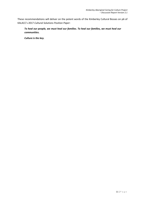These recommendations will deliver on the potent words of the Kimberley Cultural Bosses on p6 of KALACC's 2017 *Cultural Solutions Position Paper*:

*To heal our people, we must heal our families. To heal our families, we must heal our communities.* 

*Culture is the key.*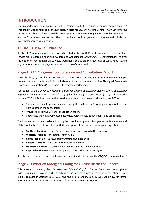## **INTRODUCTION**

The Kimberley Aboriginal Caring for Culture Project (KACfC Project) has been underway since 2017. This project was developed by the Kimberley Aboriginal Law and Culture Centre (KALACC) to improve resource distribution; foster a collaborative approach between Aboriginal stakeholder organisations and the Government; and address the broader impact of intergenerational trauma and suicide that overwhelmingly grips our region.

## **THE KACFC PROJECT PROCESS**

A total of 61 Aboriginal organisations participated in the KACfC Project, from a cross-section of key service areas regarding Aboriginal welfare and wellbeing (see *Appendix 1*). Organisations were given the option of contributing via surveys, workshops or one-on-one meetings or workshops. Several organisations chose to engage with more than one of these methods.

## **Stage 1: KACfC Regional Consultations and Consultation Report**

Through a lengthy consultation process that spanned close to a year, two consultation teams mapped the ways in which culture – in its multi-faceted forms – is inherent within Aboriginal Community Controlled Organisations (ACCOs) across the vast Kimberley region.

Subsequently, the *Kimberley Aboriginal Caring for Culture Consultation Report (KACfC Consultation Report)* was released in March 2019 (v1.0); updated in July (v1.1) and August (v1.2); and finalised in January 2020 (v1.3). It reports on the year-long consultation process conducted by KALACC and:

- Summarises the information and materials gathered from the 61 Aboriginal organisations that participated in the consultations
- Provides a collective voice for these organisations
- Showcases their culturally-based activities, partnerships, achievements and aspirations

The information that was collected during the consultation process is organised within a framework of the five Kimberley cultural blocs (with the exception of the overarching regional organisations):

- **Southern Tradition** from Broome and Bidyadanga across to the Tjurabalan
- **Western Tradition** the Dampier Peninsula
- **Central Tradition** Derby, Fitzroy Crossing and surrounds
- **Eastern Tradition** Halls Creek, Warmun and Kununurra
- **Northern Tradition** Wyndham, Kalumburu and the Gibb River Road
- **Regional Bodies** organisations operating across the Kimberley region

See also below for further information on the content and outcomes of the *KACfC Consultation Report.*

## **Stage 2: Kimberley Aboriginal Caring for Culture Discussion Report**

This present document, the *Kimberley Aboriginal Caring for Culture Discussion Report (KACfC Discussion Report)*, provides further analysis of the information gathered in the consultations. It was initially released in October 2019 (v2.0) and finalised in January 2020 (v 2.1). See below for further information on the purpose and structure of the *KACfC Discussion Report*.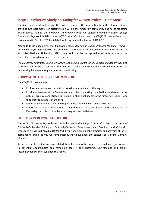## **Stage 3: Kimberley Aboriginal Caring for Culture Project – Final Steps**

The final report produced through this process combines the information from the aforementioned previous two documents for dissemination within the Kimberley community and to participating organisations. Named the *Kimberley Aboriginal Caring for Culture Community Report* (*KACfC Community Report*), it builds on the *KACfC Consultation Report* and the *KACfC Discussion Report* and was released in October 2019 (v3.0) before being finalised in January 2020 (v3.1).

Alongside these documents, the *Kimberley Schools Aboriginal Culture Program Mapping Project – Data and Analysis Report* (2019) was produced. This report details investigations that KALACC and the Australian National University (ANU) undertook on the incorporation of culture into school curriculums through case studies in the region.

The *Kimberley Aboriginal Caring for Culture Background Report (KACfC Background Report)* was also produced and provides a review of the relevant academic and Government policy literature on the relationship between Aboriginal culture and wellbeing.

## **PURPOSE OF THE DISCUSSION REPORT**

The *KACfC Discussion Report*:

- Explores and examines the cultural domains inherent across the region
- Provides a framework for Government and other supporting organisations to develop future policies, practices and strategies relating to Aboriginal people in the Kimberley region – one that ensures culture is at the core
- Identifies recommendations and opportunities for enhanced service provision
- Refers to additional information gathered during our consultation with schools in the Kimberley that offer culturally-based programs and initiatives

## **DISCUSSION REPORT STRUCTURE**

The *KACfC Discussion Report* builds on and expands the *KACfC Consultation Report*'s analysis of Culturally-Embedded Principles; Culturally-Embeded Components and Practices; and Culturally-Embedded Activities (KALACC 2019:91–95). By further examining the practices and activities of the 61 participating organisations, we have subsequently developed the concept of 'Cultural Domains of Action'.

As part of our discussion, we have related these findings to the project's overarching objectives and to potential opportunities and remaining gaps in the discourse. Our findings and project recommendations then conclude this report.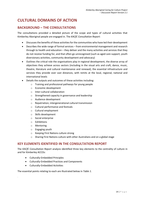## **CULTURAL DOMAINS OF ACTION**

## **BACKGROUND – THE CONSULTATIONS**

The consultations provided a detailed picture of the scope and types of cultural activities that Kimberley Aboriginal people are engaged in. The *KACfC Consultation Report*:

- Discusses the benefits of these activities for the communities who have led their development
- Describes the wide range of formal services from environmental management and research through to health and education – they deliver and the many activities and services that they do not receive funding for, and that often go unrecognised (such as aged care support, youth diversionary activities, community development and advocacy)
- Outlines the critical role the organisations play in regional development, the diverse array of objectives they achieve across sectors (including in the visual arts and craft, dance, music, theatre, literature and cultural maintenance and renewal), the essential infrastructure and services they provide over vast distances, with remits at the local, regional, national and international levels
- Details the outputs and outcomes of these activities including:
	- o Training and professional pathways for young people
	- o Economic development
	- o Inter-cultural collaboration
	- o Strengthened capacity in governance and leadership
	- o Audience development
	- o Repatriation; intergenerational cultural transmission
	- o Cultural performance and festivals
	- o Cultural employment
	- o Skills development
	- o Social enterprise
	- o Exhibitions
	- o Mentoring
	- o Engaging youth
	- o Keeping First Nations culture strong
	- o Sharing First Nations culture with other Australians and on a global stage

## **KEY ELEMENTS IDENTIFIED IN THE CONSULTATION REPORT**

The *KACfC Consultation Report* analysis identified three key elements to the centrality of culture in and for Kimberley ACCOs:

- Culturally-Embedded Principles
- Culturally-Embedded Practices and Components
- Culturally-Embedded Activities

*.*

The essential points relating to each are illustrated below in *[Table 1](#page-14-0)*.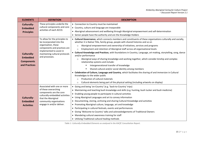| <b>ELEMENTS</b>                                                      | <b>DEFINITION</b>                                                                                                                                                                                 | <b>DESCRIPTION</b>                                                                                                                                                                                                                                                                                                                                                                                                                                                                                                                                                                                                                                                                                                                                                                                                                                                                                                                                                                                                                                                                      |  |  |  |
|----------------------------------------------------------------------|---------------------------------------------------------------------------------------------------------------------------------------------------------------------------------------------------|-----------------------------------------------------------------------------------------------------------------------------------------------------------------------------------------------------------------------------------------------------------------------------------------------------------------------------------------------------------------------------------------------------------------------------------------------------------------------------------------------------------------------------------------------------------------------------------------------------------------------------------------------------------------------------------------------------------------------------------------------------------------------------------------------------------------------------------------------------------------------------------------------------------------------------------------------------------------------------------------------------------------------------------------------------------------------------------------|--|--|--|
| Culturally-<br><b>Embedded</b><br><b>Principles</b>                  | These principles underlie the<br>cultural components and core<br>activities of each ACCO.                                                                                                         | • Connection to Country must be maintained<br>• Country, culture and language are inseparable<br>• Aboriginal advancement and wellbeing through Aboriginal empowerment and self-determination<br>Senior people have the authority and are the Knowledge Holders<br>$\bullet$                                                                                                                                                                                                                                                                                                                                                                                                                                                                                                                                                                                                                                                                                                                                                                                                            |  |  |  |
| Culturally-<br><b>Embedded</b><br><b>Components</b><br>and Practices | To allow for the principles to<br>be incorporated into the<br>organisation, these<br>components and practices are<br>implemented to assist in<br>maintaining cultural protocols<br>and processes. | • Cultural Governance, which connects members and constituents of these organisations culturally and socially,<br>whether it is Native Title, family group, people with shared histories and so on<br>Aboriginal empowerment and ownership of initiatives, services and programs<br>$\circ$<br>Employment and retention of Aboriginal staff across all organisational levels<br>$\circ$<br>• Cultural Knowledge and Practices, with foundations in Country, Language, art-making, storytelling, song, dance<br>and/or performance<br>Aboriginal ways of sharing knowledge and working together, which consider kinship and complex<br>$\circ$<br>relationship systems and include:<br>Intergenerational transfer of knowledge<br>Shared cultural and/or social identity among members<br>• Celebration of Culture, Language and Country, which facilitates the sharing of and immersion in Cultural<br>Knowledges to the wider public<br>Production of cultural materials<br>$\circ$<br>Cultural elements being part of the physical setting (including artworks on display)<br>$\circ$ |  |  |  |
| Culturally-<br><b>Embedded</b><br><b>Activities</b>                  | Associated with one or more<br>of these overarching<br>components are the core<br>culturally-embedded activities<br>that the Aboriginal<br>community organisations<br>engage in and/or deliver.   | • Going and being 'on-Country' (e.g. 'back-to-Country' trips)<br>• Maintaining and teaching bush knowledge and skills (e.g. hunting, bush tucker and bush medicine)<br>• Enabling young people to participate in cultural activities<br>• Using Aboriginal Languages and art to convey information<br>• Documenting, storing, archiving and sharing Cultural Knowledge and activities<br>• Promoting Aboriginal culture, language, art and knowledge<br>Participating in cultural festivals, events and performances<br>$\bullet$<br>• Giving 'Welcome to Country' talks and acknowledgements of Traditional Owners<br>• Mandating cultural awareness training for staff<br>• Utilising Traditional cultural healing methods                                                                                                                                                                                                                                                                                                                                                            |  |  |  |

<span id="page-14-0"></span>*Table 1: Culturally-Embedded Elements as analysed in the KACfC Consultation Report.*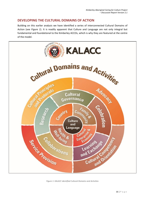## **DEVELOPING THE CULTURAL DOMAINS OF ACTION**

Building on this earlier analysis we have identified a series of interconnected Cultural Domains of Action (see *Figure 1*). It is readily apparent that Culture and Language are not only integral but fundamental and foundational to the Kimberley ACCOs, which is why they are featured at the centre of the model.



<span id="page-15-0"></span>*Figure 1: KALACC identified Cultural Domains and Activities*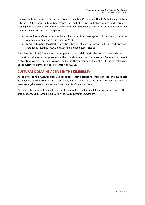The nine Cultural Domains of Action are Country; Family & Community; Health & Wellbeing; Cultural Enterprise & Economy; Cultural Governance; Research; Celebration; Collaborations; and Learning & Exchange. Each overlaps considerably with others and should not be thought of as mutually exclusive. They can be divided into two categories:

- **More** *internally* **focussed** activities that transmit and strengthen culture among Kimberley Aboriginal people and groups (see *[Table 2](#page-20-0)*)
- **More** *externally* **focussed** activities that assist external agencies to interact with and potentially resource ACCOs and Aboriginal people (see *[Table 3](#page-22-0)*)

Encircling the cultural domains on the periphery of the model are a further four discrete activities that support inclusion of and engagement with culturally-embedded frameworks – Cultural Principles & Protocols; Advocacy; Service Provision; and Cultural Competency & Orientation. These are often used as conduits for external bodies to interact with ACCOs.

## **CULTURAL DOMAINS ACTIVE IN THE KIMBERLEY**

An analysis of the Cultural Domains identified, their descriptive characteristics and associated activities are presented within the below tables, which are separated into internally-focussed activities vs externally-focussed activities (see *[Table 2](#page-20-0)* and *[Table 3](#page-22-0)* respectively).

We have also included examples of Kimberley ACCOs that embed these processes within their organisations, as discussed in full within the *KACfC Consultation Report*.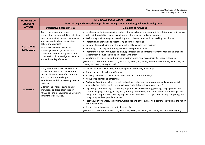| <b>DOMAINS OF</b>                       | <b>INTERNALLY-FOCUSSED ACTIVITIES:</b>                                                                                                                                                                                                                                                                                                                                           |                                                                                                                                                                                                                                                                                                                                                                                                                                                                                                                                                                                                                                                                                                                                                                                                                                                                                                                                                                                                                                                                               |  |  |  |
|-----------------------------------------|----------------------------------------------------------------------------------------------------------------------------------------------------------------------------------------------------------------------------------------------------------------------------------------------------------------------------------------------------------------------------------|-------------------------------------------------------------------------------------------------------------------------------------------------------------------------------------------------------------------------------------------------------------------------------------------------------------------------------------------------------------------------------------------------------------------------------------------------------------------------------------------------------------------------------------------------------------------------------------------------------------------------------------------------------------------------------------------------------------------------------------------------------------------------------------------------------------------------------------------------------------------------------------------------------------------------------------------------------------------------------------------------------------------------------------------------------------------------------|--|--|--|
| <b>CULTURAL</b>                         | Transmitting and strengthening Culture among Kimberley Aboriginal people and groups                                                                                                                                                                                                                                                                                              |                                                                                                                                                                                                                                                                                                                                                                                                                                                                                                                                                                                                                                                                                                                                                                                                                                                                                                                                                                                                                                                                               |  |  |  |
| <b>ACTION</b>                           | <b>Descriptive Characteristics</b>                                                                                                                                                                                                                                                                                                                                               | <b>Examples of Activities</b>                                                                                                                                                                                                                                                                                                                                                                                                                                                                                                                                                                                                                                                                                                                                                                                                                                                                                                                                                                                                                                                 |  |  |  |
| <b>CULTURE &amp;</b><br><b>LANGUAGE</b> | Across the region, Aboriginal<br>organisations are undertaking activities<br>focused on revitalising and maintaining<br>languages and cultural knowledge,<br>beliefs and practices.<br>In all these activities, Elders and<br>knowledge holders guide cultural<br>continuity, and the intergenerational<br>transmission of knowledge, experience<br>and skills are key elements. | • Creating, developing, producing and distributing arts and crafts, materials, publications, radio shows,<br>videos, interpretative signage, catalogues, cultural guides and other resources<br>• Performing, maintaining and revitalising songs, dance, music and story-telling in all forms<br>• Protecting, conserving and repatriating of cultural heritage<br>• Documenting, archiving and storing of cultural knowledge and heritage<br>• Exhibiting, displaying and touring art works and performances<br>• Promoting Kimberley cultural and language traditions and contemporary innovations and enabling<br>visitors from all over the world to engage with them<br>• Working with education and training providers to increase accessibility to language learning<br>[See KACfC Consultation Report p27, 37, 38, 40, 47-48, 50, 51, 54, 61-62, 62-63, 64, 65, 66, 67, 69, 72,<br>73-74, 75, 76-77, 78, 80, 87, 83]                                                                                                                                                  |  |  |  |
| <b>COUNTRY</b>                          | A key element of these activities is to<br>enable people to fulfil their cultural<br>responsibilities to look after Country,<br>and pass on the knowledge,<br>experiences and skills to young people<br>to do so.<br>Elders in their role as custodians of<br>knowledge and lore often support<br>ACCOs as cultural advisors and Directors<br>to fulfil these activities.        | Activities to connect Kimberley Aboriginal people to Country, including:<br>• Supporting people to live on Country<br>• Enabling people to access, use and look after their Country through<br>• Native Title claims and agreements<br>• Caring for Country activities (i.e. cultural and natural resource management and environmental<br>stewardship activities, which are now increasingly delivered by ranger groups)<br>• Organising and resourcing 'on-Country' trips for Law and ceremony, painting, language research,<br>cultural mapping, hunting, fishing and gathering bush tucker, medicines and ochres, meetings and<br>many other purposes - in so doing, organisations ensure that the right people are participating and<br>bring young and old people together<br>• Festivals, performances, exhibitions, workshops and other events held continuously across the region<br>and further afield<br>• Storytelling in books and on radio, film and TV<br>[See KACfC Consultation Report p28, 52, 53, 54, 61-62, 65, 66, 68, 69, 73-74, 75, 76, 77-78, 80, 87] |  |  |  |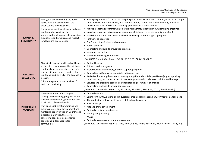| <b>FAMILY &amp;</b><br><b>COMMUNITY</b>   | Family, kin and community are at the<br>centre of all the activities that the<br>organisations are engaged in.<br>The bringing together of young and older<br>family members and kin, the<br>intergenerational transfer of knowledge,<br>experiences and practices, and respect<br>for elders are key elements.                                                                                              | • Youth programs that focus on restoring the pride of participants with cultural guidance and support<br>provided by Elders and mentors, and that use culture, connection, and community, as well as<br>practical work and life skills, to set young people up for a better future<br>• Artistic mentoring programs with older practitioners together with young emerging creatives<br>• Knowledge transfer between generations to maintain and celebrate identity and kinship<br>Workshops in traditional maternity health and young mothers support programs<br>Pathways to education<br>On-Country trips for Law and ceremony<br>$\bullet$<br>• Father-son days<br>Counselling and suicide prevention programs<br>$\bullet$<br>Women's law business<br>• Women's knowledge enterprises<br>[See KACfC Consultation Report p56-57, 57-59, 66, 75, 76-77, 80, 89] |
|-------------------------------------------|--------------------------------------------------------------------------------------------------------------------------------------------------------------------------------------------------------------------------------------------------------------------------------------------------------------------------------------------------------------------------------------------------------------|-------------------------------------------------------------------------------------------------------------------------------------------------------------------------------------------------------------------------------------------------------------------------------------------------------------------------------------------------------------------------------------------------------------------------------------------------------------------------------------------------------------------------------------------------------------------------------------------------------------------------------------------------------------------------------------------------------------------------------------------------------------------------------------------------------------------------------------------------------------------|
| <b>HEALTH &amp;</b><br><b>WELLBEING</b>   | Aboriginal views of health and wellbeing<br>are holistic, encompassing the spiritual,<br>emotional and cultural dimensions of a<br>person's life and connections to culture,<br>family and land, as well as the absence of<br>disease.<br>Culture is a protector and enabler of<br>health and wellbeing.                                                                                                     | • Cultural healing<br>• Spiritual health programs<br>Maternity health and young mothers support programs<br>• Connecting to Country through visits to fish and hunt<br>• Activities that strengthen cultural identity and pride while building resilience (e.g. story-telling,<br>music-making), and other modes of creative expression that celebrate tradition and heritage<br>Services and programs based on an understanding of family relationships<br>• Counselling and suicide prevention programs<br>[See KACfC Consultation Report p24, 27, 35, 49, 52, 56-57, 57-59, 65, 70, 71, 81-82, 89-90]                                                                                                                                                                                                                                                          |
| <b>ENTERPRISE &amp;</b><br><b>ECONOMY</b> | These enterprises offer a range of<br>training and mentoring programs in the<br>creation, development, production and<br>distribution of cultural works.<br>They enable job creation, training and<br>cultural/professional development and<br>mentoring opportunities on-Country and<br>in local communities, therefore<br>generating considerable economic<br>benefit and independence for<br>communities. | • Cultural tourism<br>Caring for Country, natural and cultural resource management and environmental management<br>The production of bush medicines, bush foods and cosmetics<br>• Fashion design<br>Arts and crafts development<br>Cultural events such as festivals<br>• Writing and publishing<br>Music<br>$\bullet$<br>Cultural awareness and orientation courses<br>[See KACfC Consultation Report p27-30, 43-44,49, 53, 55-56, 56-57, 64, 65, 68, 76-77, 78-79, 80]                                                                                                                                                                                                                                                                                                                                                                                         |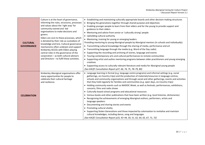| <b>CULTURAL</b><br><b>GOVERNANCE</b> | Culture is at the heart of governance,<br>informing the rules, structures, processes<br>and values about the 'right way' for<br>community-owned and -led<br>organisations to make decisions and<br>govern.<br>Elders are core to these processes, which<br>is dictated by their role as custodians of<br>knowledge and lore. Cultural governance<br>mechanisms often underpin and support<br>Kimberley ACCOs with Elders playing<br>central roles in the governance of the<br>corporation - as both cultural advisors<br>and Directors - to fulfil these activities. | • Establishing and maintaining culturally appropriate boards and other decision-making structures<br>Bringing the generations together through shared purpose and objectives<br>$\bullet$<br>• Enabling younger people to learn from their elders and for the young to provide support and<br>guidance to their elders<br>• Mentoring and advice from senior or 'culturally strong' people<br>• Upholding cultural authority<br>• Mentoring, training for young or emerging leaders<br>Providing mentoring to young Aboriginal people by Aboriginal mentors (in schools and individually):<br>• Transmitting cultural knowledge through the sharing of media, performance and art<br>• Transmitting language through the media (e.g. Word of the Day radio)<br>Supporting the recording and archiving of stories, language and events<br>• Touring contemporary arts and cultural performances to remote communities<br>• Supporting artist and author mentoring programs between older practitioners and young emerging<br>creatives<br>• Supporting access to culturally relevant literature and media for Aboriginal young people<br>[See KACfC Consultation Report p37, 66, 74, 75, 78-79, 80] |
|--------------------------------------|----------------------------------------------------------------------------------------------------------------------------------------------------------------------------------------------------------------------------------------------------------------------------------------------------------------------------------------------------------------------------------------------------------------------------------------------------------------------------------------------------------------------------------------------------------------------|----------------------------------------------------------------------------------------------------------------------------------------------------------------------------------------------------------------------------------------------------------------------------------------------------------------------------------------------------------------------------------------------------------------------------------------------------------------------------------------------------------------------------------------------------------------------------------------------------------------------------------------------------------------------------------------------------------------------------------------------------------------------------------------------------------------------------------------------------------------------------------------------------------------------------------------------------------------------------------------------------------------------------------------------------------------------------------------------------------------------------------------------------------------------------------------------------|
| <b>CELEBRATION</b>                   | Kimberley Aboriginal organisations offer<br>many opportunities for people to<br>celebrate their cultural heritage<br>and resilience.                                                                                                                                                                                                                                                                                                                                                                                                                                 | • Language learning in formal (e.g. language centre programs) and informal settings (e.g. social<br>gatherings, on-Country trips) and the production of materials/resources in language centres,<br>schools and community organisations and through social and other gatherings, events and activities<br>that they hold regularly for families and communities (e.g. open days, on-Country trips)<br>• Holding community events such as NAIDOC Week, as well as festivals, performances, exhibitions,<br>concerts, films and radio shows<br>• Culturally-based school programs and educational resources<br>• Various books and other publications that have been written (e.g. local histories, dictionaries)<br>• Recognising the achievements of emerging Aboriginal authors, performers, artists and<br>language speakers<br>• Documenting and sharing stories and events<br>• Promoting cultural vitality<br>• Supporting Stolen Generations and those impacted by colonisation to revitalise and maintain<br>cultural knowledges, including dance, song and languages<br>[See KACfC Consultation Report p33, 43-44, 50, 51, 62, 64, 65, 67, 71, 72]                                         |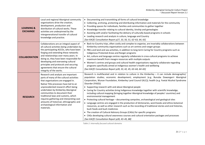| <b>LEARNING &amp;</b><br><b>EXCHANGE</b> | Local and regional Aboriginal community<br>organisations drive the creation,<br>development, production and<br>distribution of cultural works. These<br>activities are underpinned by the<br>intergenerational transfer of cultural<br>knowledge and practice.                                                                                                                                                                                             | • Documenting and transmitting all forms of cultural knowledge<br>Collecting, archiving, protecting and distributing information and materials for the community<br>• Providing spaces for individuals, families and communities to gather together<br>Knowledge transfer relating to cultural identity, kinship and genealogies<br>• Assisting with and/or facilitating the delivery of culturally-based programs in schools<br>• Leading research and analysis in culture, language and Country<br>[See KACfC Consultation Report p27, 33, 50, 51, 62-63, 64, 65]                                                                                                                                                                                                                                                                                                                                                                                                                                                                                                                                                                                                                          |
|------------------------------------------|------------------------------------------------------------------------------------------------------------------------------------------------------------------------------------------------------------------------------------------------------------------------------------------------------------------------------------------------------------------------------------------------------------------------------------------------------------|----------------------------------------------------------------------------------------------------------------------------------------------------------------------------------------------------------------------------------------------------------------------------------------------------------------------------------------------------------------------------------------------------------------------------------------------------------------------------------------------------------------------------------------------------------------------------------------------------------------------------------------------------------------------------------------------------------------------------------------------------------------------------------------------------------------------------------------------------------------------------------------------------------------------------------------------------------------------------------------------------------------------------------------------------------------------------------------------------------------------------------------------------------------------------------------------|
| <b>COLLABORATION</b>                     | Collaborations are an integral aspect of<br>all cultural activities being undertaken by<br>the participating ACCOs, who have been<br>forging and extending these networks<br>and relationships over many years. In<br>doing so, they have been responsible for<br>developing and overseeing cultural<br>principles and protocols and securing<br>agreements that ensure the cultural<br>integrity of the works.                                            | • Back-to-Country trips, often costly and complex to organise, are invariably collaborations between<br>Kimberley community organisations such as art centres and ranger groups<br>• PBCs and land and sea activities, in addition to long-term Caring for Country programs such as<br>Indigenous Protected Areas and Ranger programs<br>• Art, culture and language centres regularly collaborate in cross-cultural programs to achieve<br>maximum benefit from meagre resources with multiple outputs<br>• Women's centres and groups and cultural health organisations regularly collaborate regarding<br>programs specifically aimed at Indigenous women's health and wellbeing<br>[See KACfC Consultation Report p28, 33, 42, 45, 63-64, 64-65]                                                                                                                                                                                                                                                                                                                                                                                                                                         |
| <b>RESEARCH</b>                          | Research and analysis are important<br>parts of many of the cultural activities<br>that organisations are engaged in.<br>Native Title processes have led to an<br>unprecedented research effort being<br>undertaken by Kimberley Aboriginal<br>communities to document their<br>traditional laws and customs, which<br>requires gathering and interpreting vast<br>amounts of historical, ethnographic and<br>archaeological information and<br>materials. | Research is multifaceted and in relation to culture in the Kimberley $-$ it can include demographic/<br>population studies; economic development; employment (e.g. Bunuba Dawangarri Aboriginal<br>Corporation, Wunan Foundation, Kimberley Land Council (KLC)); health (e.g. Foetal Alcohol Syndrome<br>Disorder (FASD))<br>• Supporting research with and about Aboriginal people<br>• Caring for Country activities bring Indigenous knowledge together with scientific knowledge,<br>including cultural mapping (bringing together Aboriginal knowledge of peoples' countries) and<br>environmental management<br>• Protecting cultural heritage - documenting campsites, archaeological and geological sites<br>• Language centres are engaged in the production of dictionaries, word books and ethno-botanical<br>resources, as well as other research such as the recording of traditional stories and oral histories,<br>bush foods and bush medicines<br>• The creation of Cultural Advisory Groups (CAGs) for specific programs<br>• CAGs developing cultural awareness courses and cultural orientation packages and processes<br>[See KACfC Consultation Report p28, 43-45, 88] |

<span id="page-20-0"></span>*Table 2: Internally-focused cultural domains*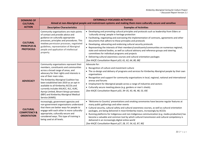| <b>DOMAINS OF</b><br><b>CULTURAL</b>                             | <b>EXTERNALLY-FOCUSSED ACTIVITIES:</b><br>Aimed at non-Aboriginal people and mainstream systems and making them more culturally secure and sensitive                                                                                                                                                                                                                                                                                                                           |                                                                                                                                                                                                                                                                                                                                                                                                                                                                                                                                                                                                                                                                                                                                                                                  |  |  |
|------------------------------------------------------------------|--------------------------------------------------------------------------------------------------------------------------------------------------------------------------------------------------------------------------------------------------------------------------------------------------------------------------------------------------------------------------------------------------------------------------------------------------------------------------------|----------------------------------------------------------------------------------------------------------------------------------------------------------------------------------------------------------------------------------------------------------------------------------------------------------------------------------------------------------------------------------------------------------------------------------------------------------------------------------------------------------------------------------------------------------------------------------------------------------------------------------------------------------------------------------------------------------------------------------------------------------------------------------|--|--|
| <b>ACTION</b>                                                    | <b>Descriptive Characteristics</b>                                                                                                                                                                                                                                                                                                                                                                                                                                             | <b>Examples of Activities</b>                                                                                                                                                                                                                                                                                                                                                                                                                                                                                                                                                                                                                                                                                                                                                    |  |  |
| <b>CULTURAL</b><br><b>PRINCIPLES &amp;</b><br><b>PROTOCOLS</b>   | Community organisations are main points<br>of contact and provide advice and<br>guidance on culturally appropriate<br>processes, principles and procedures. This<br>involves permission processes, negotiated<br>guidelines, representation of Aboriginal<br>people and application of intellectual<br>property.                                                                                                                                                               | • Developing and promoting cultural principles and protocols such as leadership from Elders or<br>'culturally strong' people in heritage protection<br>• Facilitating, negotiating and overseeing the implementation of contracts, agreements and other<br>documents that adhere to these principles and protocols<br>• Developing, advocating and endorsing cultural security protocols<br>• Representing the interests of their members/constituents/communities on numerous regional,<br>state and national bodies, as well as cultural advisory and reference groups and steering<br>committees for individual programs and projects<br>• Delivering cultural awareness courses and cultural orientation packages<br>[See KACfC Consultation Report p53, 61, 62, 64, 80, 88] |  |  |
| <b>ADVOCACY</b>                                                  | Community organisations represent their<br>members, constituents and communities<br>across a broad range of areas, and<br>advocacy for their rights and interests is<br>one of their main roles.<br>The Kimberley Aboriginal Coalition has<br>been established late-2019 as an opt-in<br>available to all Kimberley ACCOs and<br>currently includes KALACC, KLC, KLRC,<br>Aarnja Limited, Binarri-binyja yarrawoo<br>(BBY) and Kimberley Aboriginal Medical<br>Service (KAMS). | Advocate for:<br>• Recognition of culture and investment culture<br>• The co-design and delivery of programs and services for Kimberley Aboriginal people by their own<br>organisations<br>• Recognition and support for community organisations in local, regional, national and international<br>arenas and forums<br>• Employment for Aboriginal people across a range of industries and sectors<br>• Culturally secure meeting places (e.g. gardens or men's sheds).<br>[See KACfC Consultation Report p33, 34-35, 43, 46, 48, 53, 69]                                                                                                                                                                                                                                       |  |  |
| <b>CULTURAL</b><br><b>COMPETENCY &amp;</b><br><b>ORIENTATION</b> | Increasingly, government agencies and<br>non-government organisations understand<br>that there are better ways for people to<br>engage with each other in more culturally-<br>appropriate, culturally-secure and<br>considered ways. This type of training is<br>being used at all levels.                                                                                                                                                                                     | • 'Welcome to Country' presentations and smoking ceremonies have become regular features at<br>many public gatherings and other events<br>• Cultural security, cultural safety and cultural awareness courses, as well as cultural orientation<br>packages, are being delivered in most Kimberley towns, increasingly by ACCOs<br>• Running platforms for Indigenous and non-Indigenous communication (e.g. media production) has<br>become a valuable and common tool by which cultural transmission and cultural competency is<br>delivered in an increasingly digital online world<br>[See KACfC Consultation Report p27, 28, 37, 54, 62, 87, 90]                                                                                                                             |  |  |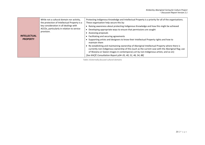| <b>INTELLECTUAL</b><br><b>PROPERTY</b> | While not a cultural domain nor activity,<br>the protection of Intellectual Property is a<br>key consideration in all dealings with<br>ACCOs, particularly in relation to service<br>provision. | Protecting Indigenous Knowledge and Intellectual Property is a priority for all of the organisations.<br>These organisation help secure this by:<br>Raising awareness about protecting Indigenous Knowledge and how this might be achieved<br>Developing appropriate ways to ensure that permissions are sought<br>Assessing proposals<br>Facilitating and securing agreements<br>Supporting artists and designers to know their Intellectual Property rights and how to<br>maintain them |
|----------------------------------------|-------------------------------------------------------------------------------------------------------------------------------------------------------------------------------------------------|-------------------------------------------------------------------------------------------------------------------------------------------------------------------------------------------------------------------------------------------------------------------------------------------------------------------------------------------------------------------------------------------------------------------------------------------------------------------------------------------|
|                                        |                                                                                                                                                                                                 | Re-establishing and maintaining ownership of Aboriginal Intellectual Property where there is<br>currently non-Indigenous ownership of this (such as the current case with the Aboriginal flag; use<br>of Wanjina or Gwion images in contemporary art by non-Indigenous artists; and so on)<br>[See KACfC Consultation Report p34-35, 40, 51, 46, 54, 88]                                                                                                                                  |

<span id="page-22-0"></span>*Table 3:Externally-focused cultural domains*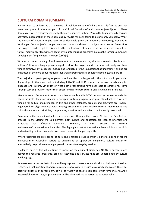## **CULTURAL DOMAIN SUMMARY**

It is pertinent to understand that the nine cultural domains identified are internally-focused and thus have been placed in the inner part of the Cultural Domains of Action model (see *[Figure 1](#page-15-0)*). These domains are often resourced indirectly, through resources'siphoned' from the four externally-focused activities. Incorporation of these domains by ACCOs has been found to be primarily voluntary. Whilst the domain of 'Country' might seem to be debatable given the amount of resourcing provided to Working on Country (WOC) ranger teams and the establishment of Indigenous Protected Areas (IPA), the progress made to get to this point is the result of a great deal of evidence-based advocacy. Prior to this, many ranger teams were begun by volunteers using programs such as the former Community Development [Employment] Program (CD[E]P).

Without an understanding of and investment in the cultural core, all efforts remain tokenistic and hollow. Culture and language are integral to all of the projects and programs, yet rarely are these funded directly. For this reason, culture and language are the foundation that underpins it all and are illustrated at the core of our model rather than represented as a separate domain (see *[Figure 1](#page-15-0)*).

The majority of participating organisations identified challenges with this situation in particular. Regional peak Aboriginal bodies including KALACC and KLRC play a central role in advocacy for language and culture, yet much of what both organisations have been able to achieve has come through service provision rather than direct funding for both cultural and language maintenance.

Men's Outreach Service in Broome is another example – this ACCO undertakes numerous activities which facilitates their participants to engage in cultural programs and projects, all achieved with no funding for cultural maintenance. In this and other instances, projects and programs are reverseengineered to align requests with funding criteria that then enable cultural maintenance and culturally-embedded principles, components, practices and activities to be indirectly resourced.

Examples in the educational sphere are evidenced through the current Closing the Gap Refresh process. In the Closing the Gap Refresh, both culture and education are seen as priorities and principles that influence everything. However, no direct support for cultural maintenance/transmission is identified. This highlights that at the national level additional work in understanding cultural nuance is overdue and needs to happen urgently.

Where resources are provided for cultural and language activities, much is either as a conduit for the mainstream of Australian society to understand or appreciate Indigenous culture better or, alternatively, to provide cultural people with access to everyday services.

Challenges such as this will continue to impact on the ability of Kimberley ACCOs to engage in and deliver the required programs, projects, activities and services that are underpinned by culture and language.

As awareness increases that culture and language are core components in all that is done, so too does recognition that investment and resourcing are necessary to ensure successful endeavours. Once this occurs at all levels of government, as well as NGOs who seek to collaborate with Kimberley ACCOs in meaningful partnerships, improvements will be observed and experienced exponentially.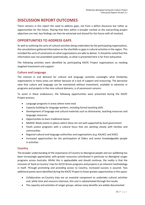## **DISCUSSION REPORT OUTCOMES**

There remains in this report the need to address gaps, not from a deficit discourse but rather as opportunities for the future. Placing that then within a broader context as the overarching project objectives are met, key findings can then be extracted and shared for the future with all involved.

## **OPPORTUNITIES TO ADDRESS GAPS**

As well as outlining the sorts of cultural activities being undertaken by the participating organisations, the consultations gathered information on the shortfalls or gaps in cultural activities in the region. This included the sorts of constraints on what organisations are able to deliver. It should be noted that this information was not assembled systematically, so what is presented here is far from exhaustive.

The following activities were identified by participating KACfC Project organisations as needing targeted investment and support:

#### **Culture and Language**

The interest in and demand for cultural and language activities outweighs what Kimberley organisations in many areas can deliver because of a lack of support and resourcing. The pervasive view that culture and language can be maintained without investment, available as elements in programs and projects in the nine cultural domains, is of paramount concern.

To assist in these endeavours, the following opportunities were presented during the KACfC Project process:

- Language programs in areas where none exist
- Capacity building for language workers, including formal teaching skills
- Development of language and cultural materials such as dictionaries, teaching resources and language resources
- Opportunities to learn traditional dance
- NAIDOC Week events *in places where these are not well-supported by local government*
- Youth justice programs with a cultural focus that are working closely with families and communities
- Regional cultural and language authorities and organisations (e.g. KALACC and KLRC)
- Increased opportunities for the participation of Elders and senior knowledgeable people in activities

#### **Country**

The broader understanding of the importance of Country to Aboriginal people and our wellbeing has been increasingly appreciated, with greater resources contributed in particular to Aboriginal ranger programs across Australia. Whilst this is applaudable and should continue, the reality is that the inclusion of 'back to Country' trips for ACCO driven programs and projects is an inherent methodology in itself. Through promoting and providing access to Country, increased success is assured. Two additional points were identified during the KACfC Project to foster greater opportunities in this space:

- Collaborative on-Country trips are an essential component to undertake cultural activities and, while time and resource intensive, this cost is substantiated through the results
- The capacity and activities of ranger groups, whose many benefits are widely documented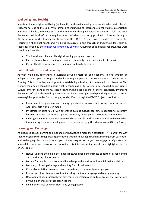#### **Wellbeing (and Health)**

Investment in Aboriginal wellbeing (and health) has been increasing in recent decades, particularly in response to Closing the Gap. With further understanding of intergenerational trauma, colonisation and mental health, initiatives such as the Kimberley Aboriginal Suicide Prevention Trial have been developed. While all of this is required, much of what is currently provided is done so through a Western framework. Repeatedly throughout the KACfC Project process, calls were made for reorienting Aboriginal health and wellbeing resources to one through an Indigenous lens, such as those developed by the [Indigenous Psychology Services.](https://indigenouspsychservices.com.au/workshops/suicide-prevention-workshop/) A number of additional opportunities were specifically identified:

- Traditional medicine and Aboriginal healing policy and practices
- Partnerships between traditional healing, community clinics and allied health services
- Cultural health services such as traditional maternity health care

#### **Cultural Enterprise and Economy**

As with wellbeing, reorienting discussions around enterprise and economy to one through an Indigenous lens opens up opportunities for Aboriginal people to drive economic activities on our Country. This is more than employment or establishing a business (in partnership or otherwise). This is more than being consulted about what is happening or for offers to be engaged or participate. Cultural enterprise and economy recognises Aboriginal people as the initiators, instigators, drivers and developers of culturally-based opportunities for investment, partnership and negotiators to deliver meaningful opportunities for our people, as identified through the KACfC Project consultations:

- Investment in employment and training opportunities across vocations, such as an increase in Aboriginal arts workers in media
- Investment in culturally-driven enterprise such as cultural tourism, in addition to culturallybased economies that in turn support community development on remote communities
- Investigate cultural economic frameworks in parallel with environmental initiatives when investigating economic development of remote areas (e.g. the Mardoowarra (Fitzroy River))

#### **Learning and Exchange**

As discussed above, learning and exchange of knowledge is more than education – it is part of the way that Aboriginal culture supports all generations through knowledge building. Learning from each other and exchanging ideas is an inherent part of any program or project we engage in. Opportunities abound for improved ways of incorporating this into everything we do, as highlighted in the KACfC Project:

- Networking and the building of linkages between people to increase opportunities for learning and the sharing of information
- Forums for people to share cultural knowledge and practices and to build their capabilities
- Festivals, cultural gatherings and mobility for cultural networks
- Cultural orientation, awareness and competency for non-Indigenous people
- Production of local cultural content including traditional language radio programming
- Development of cultural policy in different organisations and cultural groups that is informed by the experiences of other organisations
- Paid mentorships between Elders and young people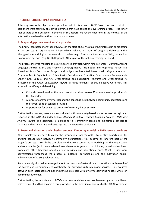## **PROJECT OBJECTIVES REVISITED**

Returning now to the objectives proposed as part of this inclusive KACfC Project, we note that at its core there were four key objectives identified that have guided the overarching process. It is timely that as part of the outcomes identified in this report*,* we review each one in the context of the information analysed from the consultation process.

#### **1. Map and gap the current service provision**

The KACfCP contacted more than 80 ACCOs at the start of 2017 to gauge their interest in participating in this process. 61 organisations did so, which included a handful of programs delivered within Aboriginal methodological frameworks of NGOs (e.g. Enterprise Partnerships WA), as well as Government agencies (e.g. North Regional TAFE as part of the national training network).

The process involved mapping the existing service provision within nine key areas – Culture; Arts and Language Centres; Men's and Women's Centres; Native Title Bodies and Registered Native Title Prescribed Body Corporates; Rangers and Indigenous Protected Areas; Health Organisations and Programs; Media Organisations; Other Service Providers (e.g. Education, Enterprise and Employment); Other Youth, Cultural and Arts Organisations; and Supporting Programs and Organisations. As discussed in the *KACfC Consultation Report*, all three elements of this objective were met. This included identifying and describing:

- Culturally-based services that are currently provided across 35 or more service providers in the Kimberley
- A range of community interests and the gaps that exist between community aspirations and the current suite of services provided
- Opportunities for enhanced delivery of culturally-based services

Further to this process, research was conducted with community-based schools across the region, as reported in the *2019 Kimberley Schools Aboriginal Culture Program Mapping Project – Data and Analysis Report*. This document is a guide for all community-based and mainstream schools to facilitate and foster culture and language into the respective curriculums.

#### **2. Foster collaboration and cohesion amongst Kimberley Aboriginal NGO service providers**

While initially we intended to collate the information from the ACCOs to identify opportunities for ongoing collaboration between community organisations, this became an inherent part of the project's process. Through the consultations that were conducted in workshops in the major towns and communities (which were selected to enable remote groups to participate), those involved heard from each other firsthand about existing activities and aspirational ones. What ensued were conversations throughout the process of potential partnerships and the cultivation and/or enhancement of existing relationships.

Simultaneously, discussions emerged about the creation of networks and consortiums within each of the towns and communities to collaborate on providing culturally-based services. This occurred between both Indigenous and non-Indigenous providers with a view to delivering holistic, whole-ofcommunity outcomes.

Further to this, the importance of ACCO-based service delivery has now been recognised by all levels of Government and has become a core procedure in the provision of services by the WA Government.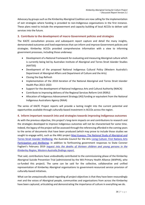Advocacy by groups such as the Kimberley Aboriginal Coalition are now calling for the implementation of exit strategies where funding is provided to non-Indigenous organisations in the first instance. These plans need to include the empowerment and capacity building of local ACCOs to deliver said services into the future.

#### **3. Contribute to the development of macro Government policies and strategies**

The KACfC consultation process and subsequent report capture and detail the many insights, demonstrated outcomes and lived experiences that can inform and improve Government policies and strategies. Kimberley ACCOs provided comprehensive information with a view to informing government processes, including those underway:

- Development of a National Framework for evaluating and measuring Aboriginal culture which is currently being led by Australian Institute of Aboriginal and Torres Strait Islander Studies (AIATSIS)
- Development of the proposed National Indigenous Cultural Policy (Western Australia's Department of Aboriginal Affairs and Department of Culture and the Arts)
- Closing the Gap Refresh
- Implementation of the 2018 iteration of the National Aboriginal and Torres Strait Islander Health Plan 2013–2023
- Support for the development of National Indigenous Arts and Cultural Authority (NIACA)
- Contribute to improving delivery of the Regional Services Reform Unit (RSRU)
- Allocation of Indigenous Advancement Strategy (IAS) funding or equivalent from the National Indigenous Australians Agency (NIAA)

The series of KACfC Project reports will provide a lasting insight into the current potential and opportunities available through culturally-based investment in ACCOs across the region.

#### **4. Inform important research into and strategies towards improving Indigenous outcomes**

As with the previous objective, this project's long-term impacts on and contributions to research and the strategies developed to improve Indigenous outcomes will not be characterised for some time. Indeed, the legacy of the project will be assessed through the referencing afforded in the coming years to the series of documents that have been produced (which may prove to include those studies we sought to engage with), such as the ANU project [Mayi Kuwayu: The National Study of Aboriginal and](https://mkstudy.com.au/)  [Torres Strait Islander Wellbeing;](https://mkstudy.com.au/) the Australia Council for the Arts [Living Culture: First Nations Arts](http://www.australiacouncil.gov.au/research/living-culture/)  [Participation and Wellbeing;](http://www.australiacouncil.gov.au/research/living-culture/) in addition to forthcoming government responses to State Coroner Fogliani's February 2019 *[Inquest into the deaths of thirteen children and young persons in the](https://www.coronerscourt.wa.gov.au/_files/inquest-2019/13-Children-and-Young-Persons-in-the-Kimberley-Region-Finding.pdf)  [Kimberley Region, Western Australia findings report.](https://www.coronerscourt.wa.gov.au/_files/inquest-2019/13-Children-and-Young-Persons-in-the-Kimberley-Region-Finding.pdf)*

That said, contributions have undoubtedly contributed to the commissioning phase of the Kimberley Aboriginal Suicide Prevention Trial (administered by the WA Primary Health Alliance (WAPHA), who co-funded this project). The same can be said for the collective, collaborative and unified representation of Kimberley Aboriginal organisations to government-resourced service provision of culturally-based initiatives.

What can be unequivocally stated regarding all project objectives is that they have been resoundingly met and the voices of Aboriginal people, communities and organisations from across the Kimberley have been captured, articulating and demonstrating the importance of culture in everything we do.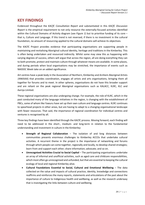## **KEY FINDINGS**

Evidenced throughout the *KACfC Consultation Report* and substantiated in this *KACfC Discussion Report* is the empirical requirement to not only resource the externally-focused activities identified within the Cultural Domains of Activity diagram (see *[Figure 1](#page-15-0)*) but to prioritise funding of its core – that is, Culture and Language. If this trend is not reversed, if there is no investment in the cultural foundation, no amount of resourcing applied to the cultural domains will achieve its objectives.

The KACfC Project provides evidence that participating organisations are supporting people in maintaining and revitalising Aboriginal cultural identity, heritage and traditions in the Kimberley. This is often being undertaken and resourced indirectly. Whilst some may view this as happening with varying degrees of success, others will argue that across the region, all are doing everything they can to both promote, protect and maintain culture through whatever means are available. In some places, and during periods when local organisations may be stretched, the importance of events such as NAIDOC Week take on an added significance.

Art centres have a peak body in the Association of Northern, Kimberley and Arnhem Aboriginal Artists (ANKAAA) that provides coordination, engages all artists and arts organisations, bringing them all together for forums and to meet. In other spheres, organisations do not have this broader support and are reliant on the peak regional Aboriginal organisations such as KALACC, KLRC, KLC and Aarnja Limited.

These regional organisations are also undergoing change. For example, the role of KLRC, which in the past conducted many of the language initiatives in the region, is changing with the establishment of PBCs, some of whom like Yawuru have set up their own culture and language centres. KLRC continues to spearhead projects in other areas, but are having to adapt to a changing organisational landscape with fewer resources. That said, the importance of regional coordination for individual centres and ventures is recognised by all.

Three key findings have been identified through the KACfC process. Moving forward, each finding will need to be addressed in the short-, medium- and long-term in relation to the fundamental understanding and investment in culture in the Kimberley:

- **Strength of Regional Collaboration**  The isolation of and long distances between communities presents enormous challenges to Kimberley ACCOs that undertake cultural activities. A recurrent theme in the project is the importance of networking and forums through which people can come together, regionally and locally, to develop shared strategies; learn from and support each other; share information; advocate; and so on.
- **Unrecognised Activities Crucial to Social Capital** The participating organisations undertake an array of informal and unofficial activities, such as aged care and childcare responsibilities, which most often go unrecognised and unfunded, but that are essential to keeping the cultural ecology of local and regional Kimberley alive.
- **Cultural Foundations Essential to Social, Cultural and Emotional Wellbeing** The data collected on the value and impacts of cultural practice, identity, knowledge and connections reaffirms and reinforces the many reports, statements and articulations of the past about the importance of culture to Indigenous health and wellbeing, as well as the research underway that is investigating the links between culture and wellbeing.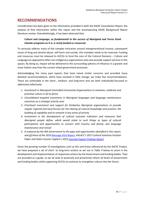## **RECOMMENDATIONS**

Consideration has been given to the information provided in both the *KACfC Consultation Report*, the analysis of that information within this report and the accompanying *KACfC Background Report* literature review. Overwhelmingly, it has been observed that:

#### *Culture and Language, as fundamental to the success of Aboriginal and Torres Strait Islander programs as it is, is rarely funded or resourced.*

To seriously address many of the complex intricacies around intergenerational trauma, subsequent issues of drug and alcohol abuse, self-harm and suicide, this mandate needs to be reversed. Funding and resources must be released to ACCOs to fund the core of the Cultural Domains – Culture and Language (as opposed to other non-Indigenous organisations who also provide support services in this space). By doing so, impact will be delivered to the surrounding spheres of influence in a greater and more holistic way than the current siloed government processes.

Acknowledging the many past reports that have raised similar concerns and provided many detailed recommendations, which have resulted in little change, we make five recommendations. These are achievable in the short-, medium- and long-term and are both individually-focussed or addressed collectively:

- *1. Investment in Aboriginal Controlled Community Organisations to maintain, celebrate and prioritise culture in all its forms*
- *2. Consolidated targeted investment in Aboriginal languages and language maintenance outcomes as a strategic priority area*
- *3. Prioritised investment and support for Kimberley Aboriginal organisations to provide regular regional and local forums for the sharing of cultural knowledge and practice, the building of capability and to network in key areas of activity*
- *4. Investment in the development of cultural outcome indicators and measures that Aboriginal people define, which would relate to such things as types of cultural participation and opportunities to connect with Country and family, and language maintenance and revival*
- *5. A response by the WA Government to the gaps and opportunities identified in this report, and all those of the 201[6 Message Stick Report,](https://www.parliament.wa.gov.au/parliament/commit.nsf/(Report+Lookup+by+Com+ID)/B7C324463C7E020A4825806E00050947/$file/161114+Aboriginal+Youth+Suicide+Draft+Report+FINAL+with+electronic+signature+17112016.pdf) KALACC's 2017 Cultural Solutions Position Paper and State Coroner Fogliani's 201[9 Coronial Inquest Findings Report](https://www.coronerscourt.wa.gov.au/_files/inquest-2019/13-Children-and-Young-Persons-in-the-Kimberley-Region-Finding.pdf)*

Given the growing number of investigations such as this and those referenced by the KACfC Project, we have prepared a set of short- to long-term actions as set out in *[Table](#page-30-0) 4* below to assist in the development and implementation of responsive actions by the Government and funding bodies. They are provided as a guide, as we all seek to positively and proactively inform all levels of Government and funding bodies while supporting ACCOs to continue to strengthen culture into the future.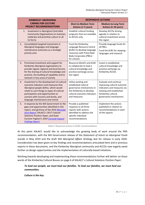|    | <b>KIMBERLEY ABORIGINAL</b>                                                                                                                                                                                                                                                                | <b>RESPONSIVE ACTIONS</b>                                                                                                                                 |                                                                                                                                                               |  |  |
|----|--------------------------------------------------------------------------------------------------------------------------------------------------------------------------------------------------------------------------------------------------------------------------------------------|-----------------------------------------------------------------------------------------------------------------------------------------------------------|---------------------------------------------------------------------------------------------------------------------------------------------------------------|--|--|
|    | <b>CARING FOR CULTURE</b><br><b>PROJECT RECOMMENDATIONS</b>                                                                                                                                                                                                                                | <b>Short-to-Medium Term</b><br>Actions (1-5 years)                                                                                                        | <b>Medium-to-Long Term</b><br>Actions (5-20 years)                                                                                                            |  |  |
|    | 1.<br>Investment in Aboriginal Controlled<br>Community Organisations to maintain,<br>celebrate and prioritise culture in all<br>its forms                                                                                                                                                  | Establish cultural funding<br>programs that are available<br>to ACCOs only                                                                                | Develop ACCOs driving<br>agenda in relation to<br>cultural investment across<br>the region                                                                    |  |  |
| 2. | Consolidated targeted investment in<br>Aboriginal languages and language<br>maintenance outcomes as a strategic<br>priority area                                                                                                                                                           | Fund the Kimberley<br>Language Resource Centre<br>(KLRC) to develop language<br>resources with Prescribed<br><b>Body Corporates (PBCs)</b><br>for schools | Provide language funds for<br>all PBCs<br>Fund the KLRC for sleeping<br>languages and research                                                                |  |  |
| 3. | Prioritised investment and support for<br>Kimberley Aboriginal organisations to<br>provide regular regional and local forums<br>for the sharing of cultural knowledge and<br>practice, the building of capability and to<br>network in key areas of activity                               | Resource KALACC and KLRC<br>to collaborate to lead a<br>cultural knowledge and<br>practice exchange across<br>the region                                  | Invest in established<br>cultural knowledge and<br>practice exchange via<br>Kimberley ACCOs                                                                   |  |  |
| 4. | Investment in the development of cultural<br>outcome indicators and measures that<br>Aboriginal people define, which would<br>relate to such things as types of cultural<br>participation and opportunities to<br>connect with Country and family, and<br>language maintenance and revival | Utilise existing and<br>established cultural<br>governance mechanisms in<br>the Kimberley to develop<br>cultural outcome indicators<br>and measures       | Evaluate and continue<br>improving cultural outcome<br>indicators and measures via<br>existing and established<br>Kimberley cultural<br>governance mechanisms |  |  |
| 5. | A response by the WA Government to the<br>gaps and opportunities identified in this<br>report, and all those of the 2016 Message<br>Stick Report, KALACC's 2017 Cultural<br>Solutions Position Paper, and State<br>Coroner Fogliani's 2019 Coronial Inquest<br><b>Findings Report</b>      | Provide a published<br>response to all three<br>reports with actions<br>identified to address the<br>specific individual<br>recommendations               | Implement the actions<br>published in relation to<br>recommendations in each<br>of the reports                                                                |  |  |

*Table 4: Responsive actions to KACfC recommendations*

<span id="page-30-0"></span>At this point KALACC would like to acknowledge the growing body of work around the fifth recommendation, with the WA Government release of the *Statement of Intent on Aboriginal Youth Suicide* in May 2019 and the draft *WA Aboriginal Affairs Strategy* due for release in early 2020. Consideration has been given to key findings and recommendations articulated here and in previous reports in these documents, and the Kimberley Aboriginal community and ACCOs now eagerly await further co-design opportunities and the implementation of culturally-based initiatives.

Working towards developing and implementing these recommendations further will deliver on those words of the Kimberley Cultural Bosses on page 6 of KALACC's *Cultural Solutions Position Paper*:

#### *To heal our people, we must heal our families. To heal our families, we must heal our communities.*

*Culture is the key.*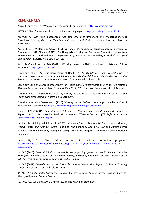## **REFERENCES**

Aarnja Limited (2018). "Who we are/Empowered Communities." [https://aarnja.org.au/.](https://aarnja.org.au/)

AIATSIS (2019). "International Year of Indigenous Languages." [https://aiatsis.gov.au/IYIL2019.](https://aiatsis.gov.au/IYIL2019)

Akerman, K. (1979). "The Renascence of Aboriginal Law in the Kimberleys". In R. M. Berndt and C. H. Berndt *Aborigines of the West: Their Past and Their Present*. Perth: University of Western Australia Press**:** 234-242.

Austin, B. J., T. Vigilante, S. Cowell, I. M. Dutton, D. Djanghara, S. Mangolomara, B. Puermora, A. Bundamurra and Z. Clement (2017). "The Uunguu Monitoring and Evaluation Committee: Intercultural Governance of a Land and Sea Management Programme in the Kimberley, Australia". *Ecological Management & Restoration* 18(2): 124-133.

Australia Council for the Arts (2018). "Working towards a National Indigenous Arts and Culture Authority." [https://niaca.com.au/.](https://niaca.com.au/)

Commonwealth of Australia Department of Health (2017). *My Life My Lead - Opportunities for strengthening approaches to the social determinants and cultural determinants of Indigenous health: Report on the national consultations*. Canberra: Commonwealth of Australia.

Commonwealth of Australia Department of Health (2018). *Implementation Plan for the National Aboriginal and Torres Strait Islander Health Plan 2013-2023*. Canberra: Commonwealth of Australia.

Council of Australian Governments (2017). *Closing the Gap Refresh: The Next Phase. Public Discussion Paper*. Canberra: Council of Australian Governments.

Council of Australian Governments (2018). "Closing the Gap Refresh: Draft targets."Canberra: Council of Australian Governments[. https://closingthegaprefresh.pmc.gov.au/targets.](https://closingthegaprefresh.pmc.gov.au/targets)

Fogliani, R. V. C. (2019). *Inquest into the 13 Deaths of Children and Young Persons in the Kimberley Region* C. s. C. o. W. Australia, Perth: Government of Western Australia. *[NB: Referred to as the [Coronial Inquest Findings Report\]](https://www.coronerscourt.wa.gov.au/_files/inquest-2019/13-Children-and-Young-Persons-in-the-Kimberley-Region-Finding.pdf)*

Haviland, M., B. Riley and B. Houghton (2019). *Kimberley Schools Aboriginal Culture Program Mapping Project - Data and Analysis Report.* Report for the Kimberley Aboriginal Law and Culture Centre (KALACC) for the Kimberley Aboriginal Caring for Culture Project. Canberra: Australian National University.

Hunt, H., G. (2018). "More support for suicide prevention programs." [http://www.health.gov.au/internet/ministers/publishing.nsf/Content/health-mediarel-yr2018](http://www.health.gov.au/internet/ministers/publishing.nsf/Content/health-mediarel-yr2018-hunt055.htm) [hunt055.htm.](http://www.health.gov.au/internet/ministers/publishing.nsf/Content/health-mediarel-yr2018-hunt055.htm)

KALACC (2017). C*ultural Solutions: Shared Pathways for Engagement in the Kimberley*. Kimberley Aboriginal Law and Culture Centre. Fitzroy Crossing: Kimberley Aboriginal Law and Cultural Centre. *[NB: Referred to as the Cultural Solutions Position Paper]*

KALACC (2019) *Kimberley Aboriginal Caring for Culture Consultation Report 1.2*. Fitzroy Crossing: Kimberley Aboriginal Law and Culture Centre.

KALACC (2019) *Kimberley Aboriginal Caring for Culture Literature Review*. Fitzroy Crossing: Kimberley Aboriginal Law and Culture Centre.

KLC, KALACC, KLRC and Aarnja Limited (2018). The Ngumpan Statement.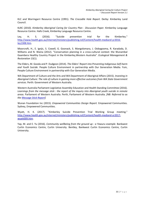KLC and Warringarri Resource Centre (1991). *The Crocodile Hole Report.* Derby: Kimberley Land Council.

KLRC (2010). *Kimberley Aboriginal Caring for Country Plan - Discussion Paper.* Kimberley Language Resource Centre. Halls Creek, Kimberley Language Resource Centre.

Ley, H. S. (2016). "Suicide prevention trial for the Kimberley." [http://www.health.gov.au/internet/ministers/publishing.nsf/Content/health-mediarel-yr2016](http://www.health.gov.au/internet/ministers/publishing.nsf/Content/health-mediarel-yr2016-ley1308.htm) [ley1308.htm.](http://www.health.gov.au/internet/ministers/publishing.nsf/Content/health-mediarel-yr2016-ley1308.htm)

Moorcroft, H., E. Ignjic, S. Cowell, G. Goonack, S. Mangolomara, J. Oobagooma, R. Karadada, D. Williams and N. Waina (2012). "Conservation planning in a cross-cultural context: the Wunambal Gaambera Healthy Country Project in the Kimberley,Western Australia". *Ecological Management & Restoration* 13(1).

The Elders, M. Gooda and P. Dudgeon (2014). *The Elders' Report into Preventing Indigenous Self-harm and Youth Suicide.* People Culture Environment in partnership with Our Generation Media. Yuin, People Culture Environment in partnership with Our Generation Media.

WA Department of Culture and the Arts and WA Department of Aboriginal Affairs (2015). *Investing in Aboriginal Culture: The role of culture in gaining more effective outcomes from WA State Government services*. Perth: Government of Western Australia.

Western Australia Parliament Legislative Assembly Education and Health Standing Committee (2016). *Learnings from the message stick : the report of the inquiry into Aboriginal youth suicide in remote areas.* Parliament of Western Australia. Perth, Parliament of Western Australia. *[NB: Referred to as the [Message Stick Report\]](https://www.parliament.wa.gov.au/parliament/commit.nsf/(Report+Lookup+by+Com+ID)/B7C324463C7E020A4825806E00050947/$file/161114+Aboriginal+Youth+Suicide+Draft+Report+FINAL+with+electronic+signature+17112016.pdf)*

Wunan Foundation Inc (2015). *Empowered Communities Design Report.* Empowered Communities. Sydney, Empowered Communities.

Wyatt, H. K. (2017). "Kimberley Suicide Prevention Trial Working Group meeting." [http://www.health.gov.au/internet/ministers/publishing.nsf/Content/health-mediarel-yr2017](http://www.health.gov.au/internet/ministers/publishing.nsf/Content/health-mediarel-yr2017-wyatt009.htm) [wyatt009.htm.](http://www.health.gov.au/internet/ministers/publishing.nsf/Content/health-mediarel-yr2017-wyatt009.htm)

Yap, M. and E. Yu (2016). *Community wellbeing from the ground up : a Yawuru example.* Bankwest Curtin Economics Centre, Curtin University. Bentley, Bankwest Curtin Economics Centre, Curtin University.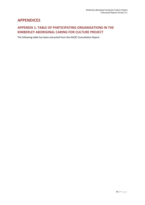## **APPENDICES**

## **APPENDIX 1: TABLE OF PARTICIPATING ORGANISATIONS IN THE KIMBERLEY ABORIGINAL CARING FOR CULTURE PROJECT**

The following table has been extracted from the *KACfC Consultation Report*.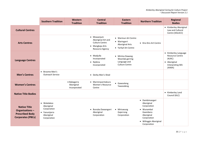|                                                                                             | <b>Southern Tradition</b>                                                              | Western<br><b>Tradition</b>               | <b>Central</b><br><b>Tradition</b>                                                              | <b>Eastern</b><br><b>Tradition</b>                                                     | <b>Northern Tradition</b>                                                                                                                   | <b>Regional</b><br><b>Bodies</b>                                                                      |
|---------------------------------------------------------------------------------------------|----------------------------------------------------------------------------------------|-------------------------------------------|-------------------------------------------------------------------------------------------------|----------------------------------------------------------------------------------------|---------------------------------------------------------------------------------------------------------------------------------------------|-------------------------------------------------------------------------------------------------------|
| <b>Cultural Centres</b>                                                                     |                                                                                        |                                           |                                                                                                 |                                                                                        |                                                                                                                                             | • Kimberley Aboriginal<br>Law and Cultural<br>Centre (KALACC)                                         |
| <b>Arts Centres</b>                                                                         |                                                                                        |                                           | • Mowanjum<br>Aboriginal Art and<br><b>Culture Centre</b><br>• Mangkaja Arts<br>Resource Agency | • Warmun Art Centre<br>• Waringarri<br><b>Aboriginal Arts</b><br>• Yarliyil Art Centre | • Kira Kiro Art Centre                                                                                                                      |                                                                                                       |
| <b>Language Centres</b>                                                                     |                                                                                        |                                           | · Madjulla<br>Incorporated<br>• Nyikina<br>Incorporated                                         | • Mirima Dawang<br>Woorlab-gerring<br>Language and<br><b>Culture Centre</b>            |                                                                                                                                             | • Kimberley Language<br><b>Resource Centre</b><br>(KLRC)<br>• Aboriginal<br>Interpreting WA<br>(AIWA) |
| <b>Men's Centres</b>                                                                        | Broome Men's<br>$\bullet$<br><b>Outreach Service</b>                                   |                                           | • Derby Men's Shed                                                                              |                                                                                        |                                                                                                                                             |                                                                                                       |
| <b>Women's Centres</b>                                                                      |                                                                                        | • Babagarra<br>Aboriginal<br>Incorporated | • Marninwarntakura<br>Women's Resource<br>Centre                                                | • Gawooleng<br>Yawoodeng                                                               |                                                                                                                                             |                                                                                                       |
| <b>Native Title Bodies</b>                                                                  |                                                                                        |                                           |                                                                                                 |                                                                                        |                                                                                                                                             | • Kimberley Land<br>Council (KLC)                                                                     |
| <b>Native Title</b><br>Organisations-<br><b>Prescribed Body</b><br><b>Corporates (PBCs)</b> | • Walalakoo<br>Aboriginal<br>Corporation<br>• Yanunijarra<br>Aboriginal<br>Corporation |                                           | · Bunuba Dawangarri<br>Aboriginal<br>Corporation                                                | • Miriuwung<br>Gajerrong<br>Corporation                                                | · Dambimangari<br>Aboriginal<br>Corporation<br>• Wunambal<br>Gaambera<br>Aboriginal<br>Corporation<br>· Wilinggin Aboriginal<br>Corporation |                                                                                                       |